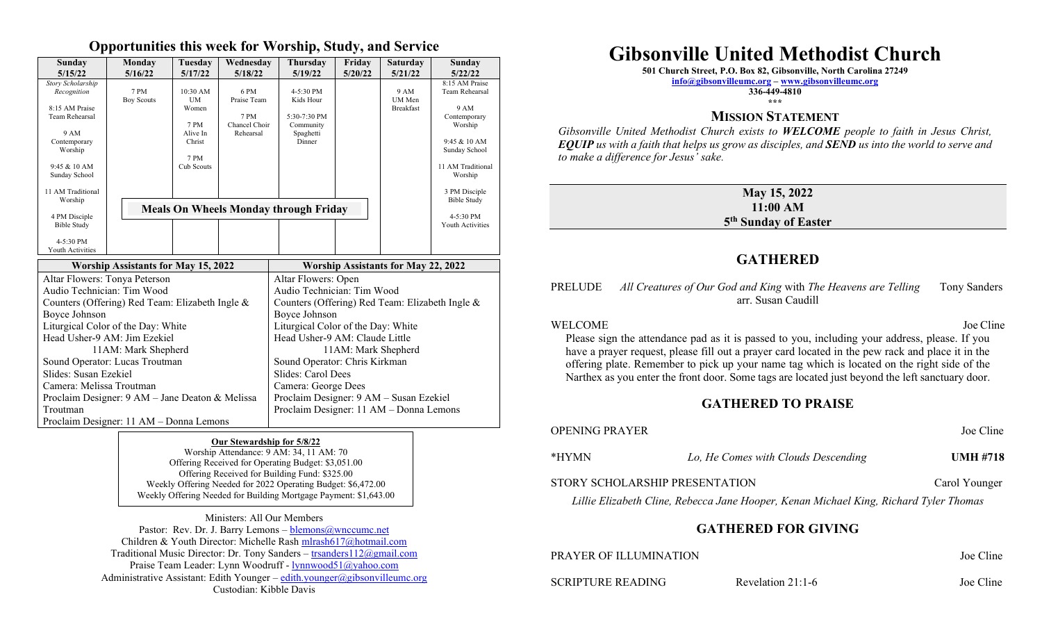### **Opportunities this week for Worship, Study, and Service**

| Sunday<br>5/15/22                                                                                                                                             | Monday<br>5/16/22         | Tuesdav<br>5/17/22                                                            | Wednesdav<br>5/18/22                                      | Thursday<br>5/19/22                                                              | Friday<br>5/20/22 | <b>Saturday</b><br>5/21/22                | Sunday<br>5/22/22                                                                                                                                     |
|---------------------------------------------------------------------------------------------------------------------------------------------------------------|---------------------------|-------------------------------------------------------------------------------|-----------------------------------------------------------|----------------------------------------------------------------------------------|-------------------|-------------------------------------------|-------------------------------------------------------------------------------------------------------------------------------------------------------|
| Story Scholarship<br>Recognition<br>8:15 AM Praise<br>Team Rehearsal<br>9 AM<br>Contemporary<br>Worship<br>9:45 & 10 AM<br>Sunday School<br>11 AM Traditional | 7 PM<br><b>Boy Scouts</b> | $10:30$ AM<br>UM<br>Women<br>7 PM<br>Alive In<br>Christ<br>7 PM<br>Cub Scouts | 6 PM<br>Praise Team<br>7 PM<br>Chancel Choir<br>Rehearsal | $4 - 5:30$ PM<br>Kids Hour<br>$5:30-7:30$ PM<br>Community<br>Spaghetti<br>Dinner |                   | 9 AM<br><b>UM</b> Men<br><b>Breakfast</b> | 8:15 AM Praise<br>Team Rehearsal<br>9 AM<br>Contemporary<br>Worship<br>9:45 & 10 AM<br>Sunday School<br>11 AM Traditional<br>Worship<br>3 PM Disciple |
| Worship<br>4 PM Disciple<br>Bible Study<br>$4-5:30$ PM<br>Youth Activities                                                                                    |                           | <b>Meals On Wheels Monday through Friday</b>                                  |                                                           | <b>Bible Study</b><br>4-5:30 PM<br>Youth Activities                              |                   |                                           |                                                                                                                                                       |

| <b>Worship Assistants for May 15, 2022</b>        | <b>Worship Assistants for May 22, 2022</b>      |
|---------------------------------------------------|-------------------------------------------------|
| Altar Flowers: Tonya Peterson                     | Altar Flowers: Open                             |
| Audio Technician: Tim Wood                        | Audio Technician: Tim Wood                      |
| Counters (Offering) Red Team: Elizabeth Ingle &   | Counters (Offering) Red Team: Elizabeth Ingle & |
| Boyce Johnson                                     | Boyce Johnson                                   |
| Liturgical Color of the Day: White                | Liturgical Color of the Day: White              |
| Head Usher-9 AM: Jim Ezekiel                      | Head Usher-9 AM: Claude Little                  |
| 11AM: Mark Shepherd                               | 11AM: Mark Shepherd                             |
| Sound Operator: Lucas Troutman                    | Sound Operator: Chris Kirkman                   |
| Slides: Susan Ezekiel                             | Slides: Carol Dees                              |
| Camera: Melissa Troutman                          | Camera: George Dees                             |
| Proclaim Designer: $9 AM - Jane$ Deaton & Melissa | Proclaim Designer: 9 AM – Susan Ezekiel         |
| Troutman                                          | Proclaim Designer: 11 AM - Donna Lemons         |
| Proclaim Designer: 11 AM – Donna Lemons           |                                                 |

#### **Our Stewardship for 5/8/22**

Worship Attendance: 9 AM: 34, 11 AM: 70 Offering Received for Operating Budget: \$3,051.00 Offering Received for Building Fund: \$325.00 Weekly Offering Needed for 2022 Operating Budget: \$6,472.00 Weekly Offering Needed for Building Mortgage Payment: \$1,643.00

Ministers: All Our Members Pastor: Rev. Dr. J. Barry Lemons – blemons@wnccumc.net Children & Youth Director: Michelle Rash [mlrash617@hotmail.com](mailto:mlrash617@hotmail.com) Traditional Music Director: Dr. Tony Sanders – [trsanders112@gmail.com](mailto:trsanders112@gmail.com) Praise Team Leader: Lynn Woodruff - [lynnwood51@yahoo.com](mailto:lynnwood51@yahoo.com) Administrative Assistant: Edith Younger – [edith.younger@gibsonvilleumc.org](mailto:edith.younger@gibsonvilleumc.org) Custodian: Kibble Davis

# **Gibsonville United Methodist Church**

**501 Church Street, P.O. Box 82, Gibsonville, North Carolina 27249**

**[info@gibsonvilleumc.org](mailto:info@gibsonvilleumc.org) – [www.gibsonvilleumc.org](http://www.gibsonvilleumc.org/)**

**336-449-4810 \*\*\***

## **MISSION STATEMENT**

*Gibsonville United Methodist Church exists to WELCOME people to faith in Jesus Christ, EQUIP us with a faith that helps us grow as disciples, and SEND us into the world to serve and to make a difference for Jesus' sake.*

#### **May 15, 2022 11:00 AM 5 th Sunday of Easter**

# **GATHERED**

#### PRELUDE *All Creatures of Our God and King* with *The Heavens are Telling* Tony Sanders arr. Susan Caudill

#### WELCOME Joe Cline

Please sign the attendance pad as it is passed to you, including your address, please. If you have a prayer request, please fill out a prayer card located in the pew rack and place it in the offering plate. Remember to pick up your name tag which is located on the right side of the Narthex as you enter the front door. Some tags are located just beyond the left sanctuary door.

## **GATHERED TO PRAISE**

# OPENING PRAYER Joe Cline \*HYMN *Lo, He Comes with Clouds Descending* **UMH #718** STORY SCHOLARSHIP PRESENTATION Carol Younger *Lillie Elizabeth Cline, Rebecca Jane Hooper, Kenan Michael King, Richard Tyler Thomas*

## **GATHERED FOR GIVING**

| PRAYER OF ILLUMINATION | Joe Cline |
|------------------------|-----------|
|                        |           |

SCRIPTURE READING Revelation 21:1-6 Joe Cline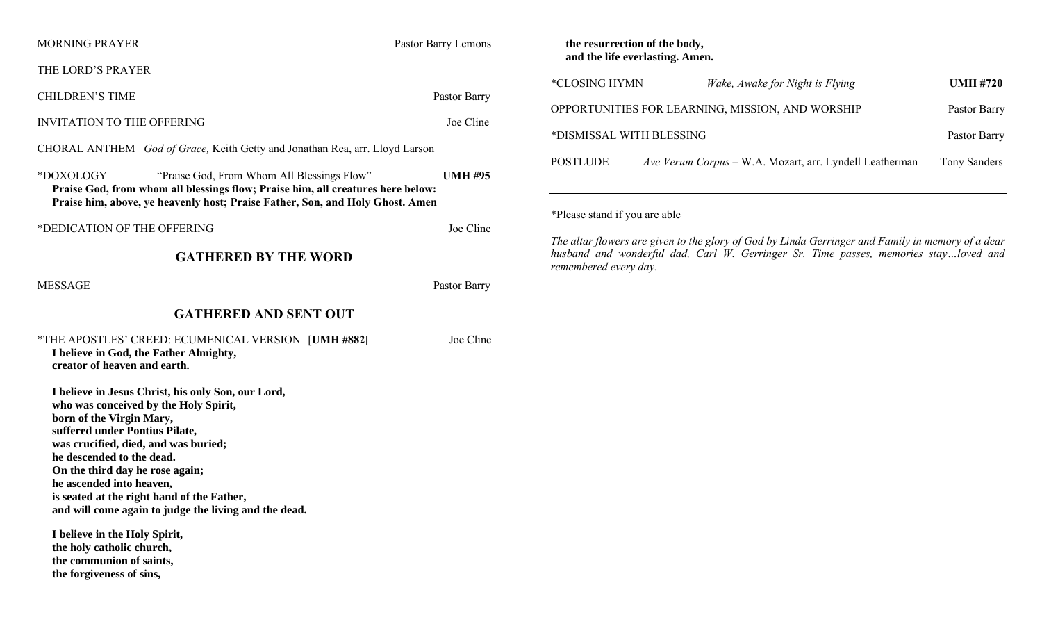| <b>MORNING PRAYER</b>                                                                                                                                                                                                                                                                                                                                                                                                                                                                          | Pastor Barry Lemons |  |  |  |  |
|------------------------------------------------------------------------------------------------------------------------------------------------------------------------------------------------------------------------------------------------------------------------------------------------------------------------------------------------------------------------------------------------------------------------------------------------------------------------------------------------|---------------------|--|--|--|--|
| THE LORD'S PRAYER                                                                                                                                                                                                                                                                                                                                                                                                                                                                              |                     |  |  |  |  |
| <b>CHILDREN'S TIME</b>                                                                                                                                                                                                                                                                                                                                                                                                                                                                         | Pastor Barry        |  |  |  |  |
| <b>INVITATION TO THE OFFERING</b>                                                                                                                                                                                                                                                                                                                                                                                                                                                              | Joe Cline           |  |  |  |  |
| CHORAL ANTHEM God of Grace, Keith Getty and Jonathan Rea, arr. Lloyd Larson                                                                                                                                                                                                                                                                                                                                                                                                                    |                     |  |  |  |  |
| *DOXOLOGY<br>"Praise God, From Whom All Blessings Flow"<br><b>UMH #95</b><br>Praise God, from whom all blessings flow; Praise him, all creatures here below:<br>Praise him, above, ye heavenly host; Praise Father, Son, and Holy Ghost. Amen                                                                                                                                                                                                                                                  |                     |  |  |  |  |
| *DEDICATION OF THE OFFERING                                                                                                                                                                                                                                                                                                                                                                                                                                                                    | Joe Cline           |  |  |  |  |
| <b>GATHERED BY THE WORD</b>                                                                                                                                                                                                                                                                                                                                                                                                                                                                    |                     |  |  |  |  |
| <b>MESSAGE</b>                                                                                                                                                                                                                                                                                                                                                                                                                                                                                 | Pastor Barry        |  |  |  |  |
| <b>GATHERED AND SENT OUT</b>                                                                                                                                                                                                                                                                                                                                                                                                                                                                   |                     |  |  |  |  |
| *THE APOSTLES' CREED: ECUMENICAL VERSION [UMH #882]<br>I believe in God, the Father Almighty,<br>creator of heaven and earth.                                                                                                                                                                                                                                                                                                                                                                  | Joe Cline           |  |  |  |  |
| I believe in Jesus Christ, his only Son, our Lord,<br>who was conceived by the Holy Spirit,<br>born of the Virgin Mary,<br>suffered under Pontius Pilate,<br>was crucified, died, and was buried;<br>he descended to the dead.<br>On the third day he rose again;<br>he ascended into heaven,<br>is seated at the right hand of the Father,<br>and will come again to judge the living and the dead.<br>I believe in the Holy Spirit,<br>the holy catholic church,<br>the communion of saints, |                     |  |  |  |  |

**the forgiveness of sins,** 

#### **the resurrection of the body, and the life everlasting. Amen.**

| *CLOSING HYMN                                    | Wake, Awake for Night is Flying                         | <b>UMH #720</b> |
|--------------------------------------------------|---------------------------------------------------------|-----------------|
| OPPORTUNITIES FOR LEARNING, MISSION, AND WORSHIP | Pastor Barry                                            |                 |
| *DISMISSAL WITH BLESSING                         | Pastor Barry                                            |                 |
| <b>POSTLUDE</b>                                  | Ave Verum Corpus – W.A. Mozart, arr. Lyndell Leatherman | Tony Sanders    |

\*Please stand if you are able

*The altar flowers are given to the glory of God by Linda Gerringer and Family in memory of a dear husband and wonderful dad, Carl W. Gerringer Sr. Time passes, memories stay…loved and remembered every day.*